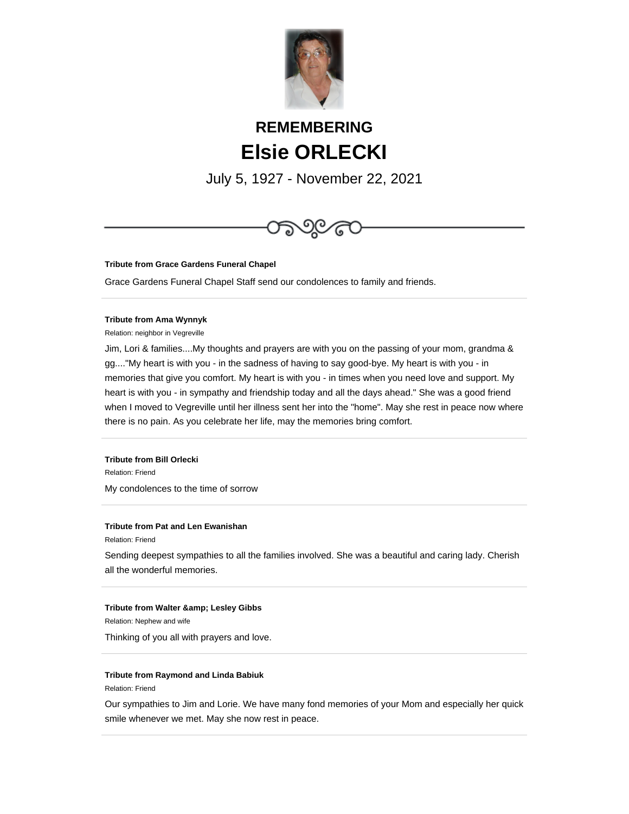

# **REMEMBERING Elsie ORLECKI**

July 5, 1927 - November 22, 2021



**Tribute from Grace Gardens Funeral Chapel**

Grace Gardens Funeral Chapel Staff send our condolences to family and friends.

## **Tribute from Ama Wynnyk**

Relation: neighbor in Vegreville

Jim, Lori & families....My thoughts and prayers are with you on the passing of your mom, grandma & gg...."My heart is with you - in the sadness of having to say good-bye. My heart is with you - in memories that give you comfort. My heart is with you - in times when you need love and support. My heart is with you - in sympathy and friendship today and all the days ahead." She was a good friend when I moved to Vegreville until her illness sent her into the "home". May she rest in peace now where there is no pain. As you celebrate her life, may the memories bring comfort.

# **Tribute from Bill Orlecki**

Relation: Friend My condolences to the time of sorrow

# **Tribute from Pat and Len Ewanishan**

Relation: Friend

Sending deepest sympathies to all the families involved. She was a beautiful and caring lady. Cherish all the wonderful memories.

## **Tribute from Walter & amp; Lesley Gibbs**

Relation: Nephew and wife

Thinking of you all with prayers and love.

## **Tribute from Raymond and Linda Babiuk**

Relation: Friend

Our sympathies to Jim and Lorie. We have many fond memories of your Mom and especially her quick smile whenever we met. May she now rest in peace.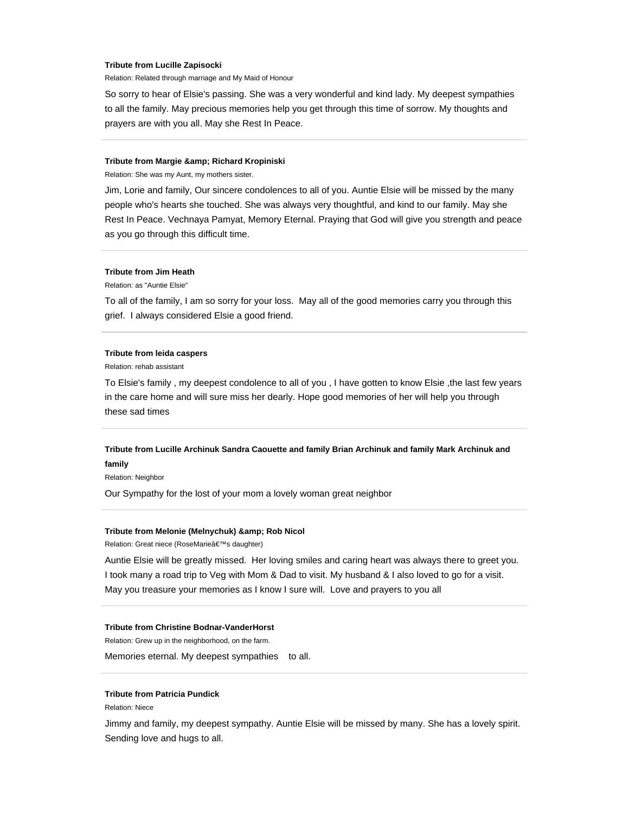#### **Tribute from Lucille Zapisocki**

Relation: Related through marriage and My Maid of Honour

So sorry to hear of Elsie's passing. She was a very wonderful and kind lady. My deepest sympathies to all the family. May precious memories help you get through this time of sorrow. My thoughts and prayers are with you all. May she Rest In Peace.

#### **Tribute from Margie & amp; Richard Kropiniski**

Relation: She was my Aunt, my mothers sister.

Jim, Lorie and family, Our sincere condolences to all of you. Auntie Elsie will be missed by the many people who's hearts she touched. She was always very thoughtful, and kind to our family. May she Rest In Peace. Vechnaya Pamyat, Memory Eternal. Praying that God will give you strength and peace as you go through this difficult time.

## **Tribute from Jim Heath**

Relation: as "Auntie Elsie"

To all of the family, I am so sorry for your loss. May all of the good memories carry you through this grief. I always considered Elsie a good friend.

## **Tribute from leida caspers**

Relation: rehab assistant

To Elsie's family , my deepest condolence to all of you , I have gotten to know Elsie ,the last few years in the care home and will sure miss her dearly. Hope good memories of her will help you through these sad times

# **Tribute from Lucille Archinuk Sandra Caouette and family Brian Archinuk and family Mark Archinuk and family**

Relation: Neighbor

Our Sympathy for the lost of your mom a lovely woman great neighbor

#### **Tribute from Melonie (Melnychuk) & amp; Rob Nicol**

Relation: Great niece (RoseMarie's daughter)

Auntie Elsie will be greatly missed. Her loving smiles and caring heart was always there to greet you. I took many a road trip to Veg with Mom & Dad to visit. My husband & I also loved to go for a visit. May you treasure your memories as I know I sure will. Love and prayers to you all

## **Tribute from Christine Bodnar-VanderHorst**

Relation: Grew up in the neighborhood, on the farm.

Memories eternal. My deepest sympathies to all.

## **Tribute from Patricia Pundick**

Relation: Niece

Jimmy and family, my deepest sympathy. Auntie Elsie will be missed by many. She has a lovely spirit. Sending love and hugs to all.